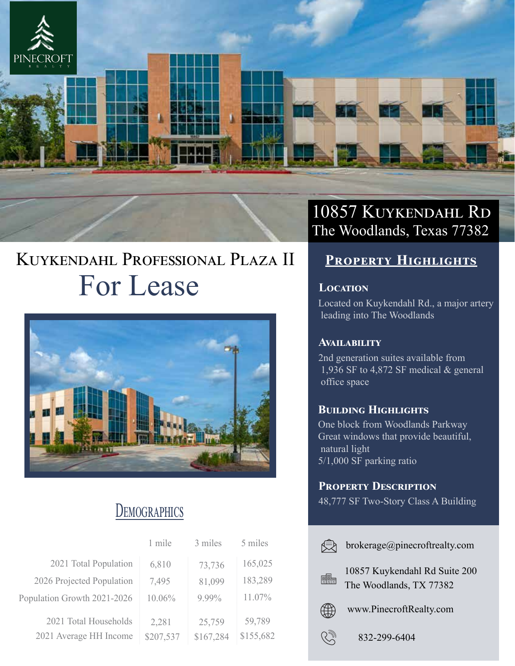

# KUYKENDAHL PROFESSIONAL PLAZA II For Lease



## **DEMOGRAPHICS**

|                                                 | 1 mile             | 3 miles             | 5 miles             |
|-------------------------------------------------|--------------------|---------------------|---------------------|
| 2021 Total Population                           | 6,810              | 73,736              | 165,025             |
| 2026 Projected Population                       | 7,495              | 81,099              | 183,289             |
| Population Growth 2021-2026                     | 10.06%             | 9.99%               | 11.07%              |
| 2021 Total Households<br>2021 Average HH Income | 2,281<br>\$207,537 | 25,759<br>\$167,284 | 59,789<br>\$155,682 |

## 10857 KUYKENDAHL RD The Woodlands, Texas 77382

## **PROPERTY HIGHLIGHTS**

### **LOCATION**

Located on Kuykendahl Rd., a major artery leading into The Woodlands

### **AVAILABILITY**

2nd generation suites available from 1,936 SF to 4,872 SF medical & general office space

### **BUILDING HIGHLIGHTS**

One block from Woodlands Parkway Great windows that provide beautiful, natural light 5/1,000 SF parking ratio

### **PROPERTY DESCRIPTION**

48,777 SF Two-Story Class A Building

|    | brokerage@pinecroftrealty.com                            |
|----|----------------------------------------------------------|
| 闘靈 | 10857 Kuykendahl Rd Suite 200<br>The Woodlands, TX 77382 |
|    | www.PinecroftRealty.com                                  |
|    | 832-299-6404                                             |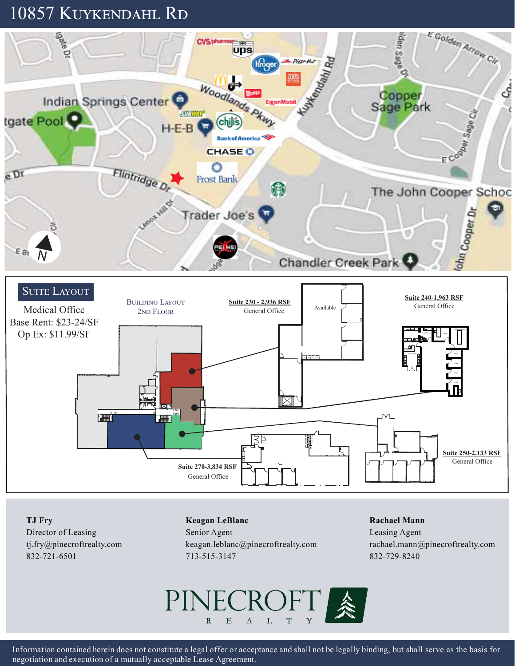## 10857 KUYKENDAHL RD

![](_page_1_Figure_1.jpeg)

**TJ Fry** Director of Leasing tj.fry@pinecroftrealty.com

832-721-6501

#### **Keagan LeBlanc**

Senior Agent keagan.leblanc@pinecroftrealty.com 713-515-3147

#### **Rachael Mann**

Leasing Agent rachael.mann@pinecroftrealty.com 832-729-8240

![](_page_1_Picture_7.jpeg)

Information contained herein does not constitute a legal offer or acceptance and shall not be legally binding, but shall serve as the basis for negotiation and execution of a mutually acceptable Lease Agreement.